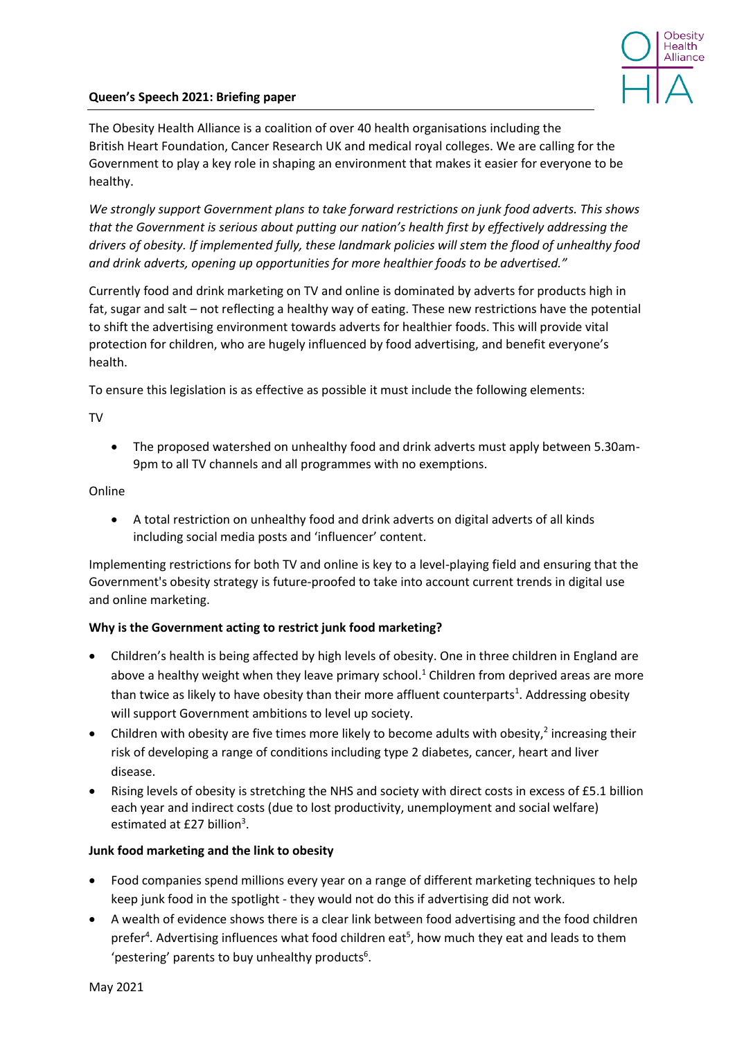

# **Queen's Speech 2021: Briefing paper**

The Obesity Health Alliance is a coalition of over 40 health organisations including the British Heart Foundation, Cancer Research UK and medical royal colleges. We are calling for the Government to play a key role in shaping an environment that makes it easier for everyone to be healthy.

*We strongly support Government plans to take forward restrictions on junk food adverts. This shows that the Government is serious about putting our nation's health first by effectively addressing the drivers of obesity. If implemented fully, these landmark policies will stem the flood of unhealthy food and drink adverts, opening up opportunities for more healthier foods to be advertised."*

Currently food and drink marketing on TV and online is dominated by adverts for products high in fat, sugar and salt – not reflecting a healthy way of eating. These new restrictions have the potential to shift the advertising environment towards adverts for healthier foods. This will provide vital protection for children, who are hugely influenced by food advertising, and benefit everyone's health.

To ensure this legislation is as effective as possible it must include the following elements:

## TV

• The proposed watershed on unhealthy food and drink adverts must apply between 5.30am-9pm to all TV channels and all programmes with no exemptions.

## Online

• A total restriction on unhealthy food and drink adverts on digital adverts of all kinds including social media posts and 'influencer' content.

Implementing restrictions for both TV and online is key to a level-playing field and ensuring that the Government's obesity strategy is future-proofed to take into account current trends in digital use and online marketing.

# **Why is the Government acting to restrict junk food marketing?**

- <span id="page-0-0"></span>• Children's health is being affected by high levels of obesity. One in three children in England are above a healthy weight when they leave primary school.<sup>1</sup> Children from deprived areas are more than twice as likely to have obesity than their more affluent counterparts<sup>1</sup>[.](#page-0-0) Addressing obesity will support Government ambitions to level up society.
- Children with obesity are five times more likely to become adults with obesity,<sup>2</sup> increasing their risk of developing a range of conditions including type 2 diabetes, cancer, heart and liver disease.
- Rising levels of obesity is stretching the NHS and society with direct costs in excess of £5.1 billion each year and indirect costs (due to lost productivity, unemployment and social welfare) estimated at £27 billion<sup>3</sup>.

# **Junk food marketing and the link to obesity**

- Food companies spend millions every year on a range of different marketing techniques to help keep junk food in the spotlight - they would not do this if advertising did not work.
- A wealth of evidence shows there is a clear link between food advertising and the food children prefer<sup>4</sup>. Advertising influences what food children eat<sup>5</sup>, how much they eat and leads to them 'pestering' parents to buy unhealthy products<sup>6</sup>.